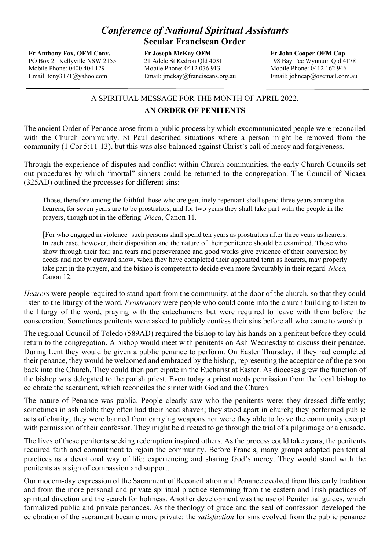## *Conference of National Spiritual Assistants*  **Secular Franciscan Order**

**Fr Anthony Fox, OFM Conv.** PO Box 21 Kellyville NSW 2155 Mobile Phone: 0400 404 129 Email: tony3171@yahoo.com

**Fr Joseph McKay OFM** 21 Adele St Kedron Qld 4031 Mobile Phone: 0412 076 913 Email: jmckay@franciscans.org.au

**Fr John Cooper OFM Cap** 198 Bay Tce Wynnum Qld 4178 Mobile Phone: 0412 162 946 Email: johncap@ozemail.com.au

## A SPIRITUAL MESSAGE FOR THE MONTH OF APRIL 2022.

## **AN ORDER OF PENITENTS**

The ancient Order of Penance arose from a public process by which excommunicated people were reconciled with the Church community. St Paul described situations where a person might be removed from the community (1 Cor 5:11-13), but this was also balanced against Christ's call of mercy and forgiveness.

Through the experience of disputes and conflict within Church communities, the early Church Councils set out procedures by which "mortal" sinners could be returned to the congregation. The Council of Nicaea (325AD) outlined the processes for different sins:

Those, therefore among the faithful those who are genuinely repentant shall spend three years among the hearers, for seven years are to be prostrators, and for two years they shall take part with the people in the prayers, though not in the offering. *Nicea*, Canon 11.

[For who engaged in violence] such persons shall spend ten years as prostrators after three years as hearers. In each case, however, their disposition and the nature of their penitence should be examined. Those who show through their fear and tears and perseverance and good works give evidence of their conversion by deeds and not by outward show, when they have completed their appointed term as hearers, may properly take part in the prayers, and the bishop is competent to decide even more favourably in their regard. *Nicea,* Canon 12.

*Hearers* were people required to stand apart from the community, at the door of the church, so that they could listen to the liturgy of the word. *Prostrators* were people who could come into the church building to listen to the liturgy of the word, praying with the catechumens but were required to leave with them before the consecration. Sometimes penitents were asked to publicly confess their sins before all who came to worship.

The regional Council of Toledo (589AD) required the bishop to lay his hands on a penitent before they could return to the congregation. A bishop would meet with penitents on Ash Wednesday to discuss their penance. During Lent they would be given a public penance to perform. On Easter Thursday, if they had completed their penance, they would be welcomed and embraced by the bishop, representing the acceptance of the person back into the Church. They could then participate in the Eucharist at Easter. As dioceses grew the function of the bishop was delegated to the parish priest. Even today a priest needs permission from the local bishop to celebrate the sacrament, which reconciles the sinner with God and the Church.

The nature of Penance was public. People clearly saw who the penitents were: they dressed differently; sometimes in ash cloth; they often had their head shaven; they stood apart in church; they performed public acts of charity; they were banned from carrying weapons nor were they able to leave the community except with permission of their confessor. They might be directed to go through the trial of a pilgrimage or a crusade.

The lives of these penitents seeking redemption inspired others. As the process could take years, the penitents required faith and commitment to rejoin the community. Before Francis, many groups adopted penitential practices as a devotional way of life: experiencing and sharing God's mercy. They would stand with the penitents as a sign of compassion and support.

Our modern-day expression of the Sacrament of Reconciliation and Penance evolved from this early tradition and from the more personal and private spiritual practice stemming from the eastern and Irish practices of spiritual direction and the search for holiness. Another development was the use of Penitential guides, which formalized public and private penances. As the theology of grace and the seal of confession developed the celebration of the sacrament became more private: the *satisfaction* for sins evolved from the public penance